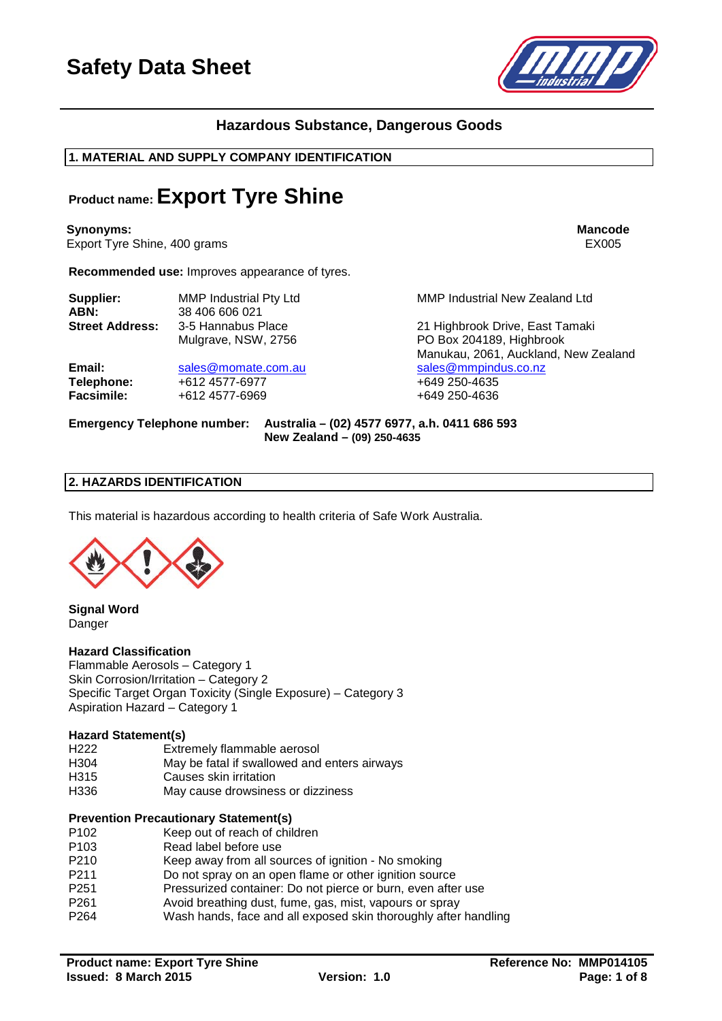

## **Hazardous Substance, Dangerous Goods**

**1. MATERIAL AND SUPPLY COMPANY IDENTIFICATION**

## **Product name: Export Tyre Shine**

**Synonyms: Mancode** Export Tyre Shine, 400 grams EX005

**Recommended use:** Improves appearance of tyres.

| Supplier:              | <b>MMP Industrial Pty Ltd</b>             | MMP Industrial New Zealand Ltd                              |
|------------------------|-------------------------------------------|-------------------------------------------------------------|
| ABN:                   | 38 406 606 021                            |                                                             |
| <b>Street Address:</b> | 3-5 Hannabus Place<br>Mulgrave, NSW, 2756 | 21 Highbrook Drive, East Tamaki<br>PO Box 204189, Highbrook |
|                        |                                           | Manukau, 2061, Auckland, New Zeala                          |
| Email:                 | sales@momate.com.au                       | sales@mmpindus.co.nz                                        |

**Telephone:** +612 4577-6977 +649 250-4635<br> **Facsimile:** +612 4577-6969 +649 250-4636 **Facsimile:** +612 4577-6969 +649 250-4636

Manukau, 2061, Auckland, New Zealand

#### **Emergency Telephone number: Australia – (02) 4577 6977, a.h. 0411 686 593 New Zealand – (09) 250-4635**

## **2. HAZARDS IDENTIFICATION**

This material is hazardous according to health criteria of Safe Work Australia.



**Signal Word** Danger

#### **Hazard Classification**

Flammable Aerosols – Category 1 Skin Corrosion/Irritation – Category 2 Specific Target Organ Toxicity (Single Exposure) – Category 3 Aspiration Hazard – Category 1

#### **Hazard Statement(s)**

- H222 Extremely flammable aerosol<br>H304 May be fatal if swallowed and
- H304 May be fatal if swallowed and enters airways<br>H315 Causes skin irritation
- Causes skin irritation
- H336 May cause drowsiness or dizziness

#### **Prevention Precautionary Statement(s)**

- P102 Keep out of reach of children<br>P103 Read label before use
- Read label before use
- P210 Keep away from all sources of ignition No smoking
- P211 Do not spray on an open flame or other ignition source<br>P251 Pressurized container: Do not pierce or burn, even afte
- P251 Pressurized container: Do not pierce or burn, even after use<br>P261 P261 Avoid breathing dust. fume. gas. mist. vapours or sprav Avoid breathing dust, fume, gas, mist, vapours or spray
- 
- P264 Wash hands, face and all exposed skin thoroughly after handling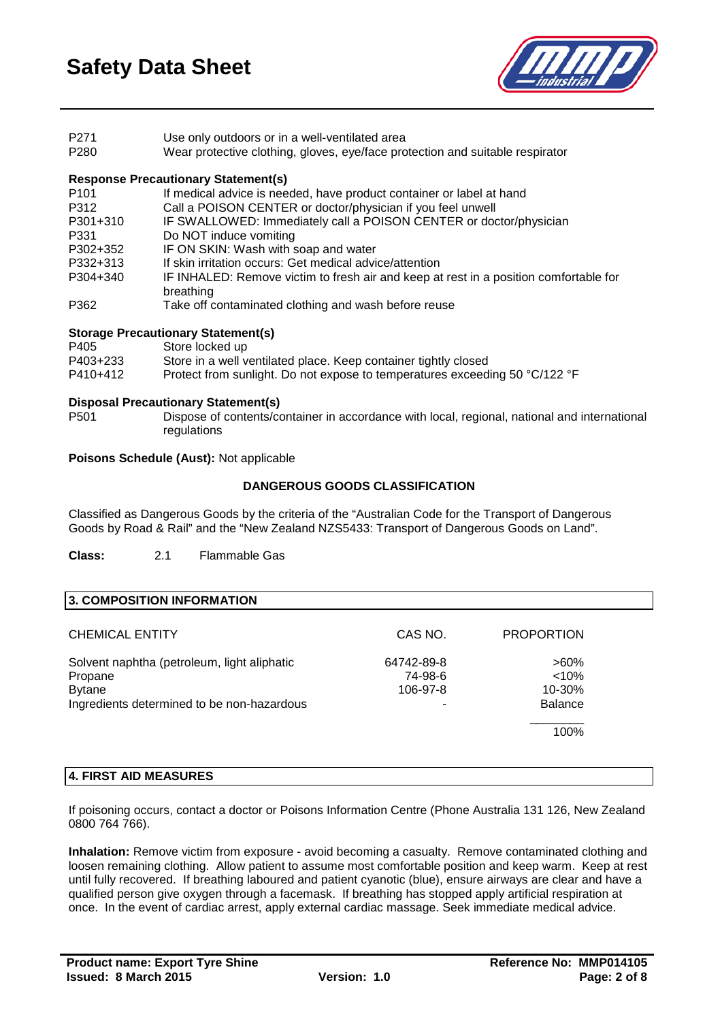

| P <sub>271</sub> |  |  | Use only outdoors or in a well-ventilated area |  |
|------------------|--|--|------------------------------------------------|--|
| ----             |  |  |                                                |  |

#### P280 Wear protective clothing, gloves, eye/face protection and suitable respirator

## **Response Precautionary Statement(s)**

| P <sub>101</sub> | If medical advice is needed, have product container or label at hand                  |
|------------------|---------------------------------------------------------------------------------------|
| P312             | Call a POISON CENTER or doctor/physician if you feel unwell                           |
| P301+310         | IF SWALLOWED: Immediately call a POISON CENTER or doctor/physician                    |
| P331             | Do NOT induce vomiting                                                                |
| P302+352         | IF ON SKIN: Wash with soap and water                                                  |
| P332+313         | If skin irritation occurs: Get medical advice/attention                               |
| P304+340         | IF INHALED: Remove victim to fresh air and keep at rest in a position comfortable for |
|                  | breathing                                                                             |
| P362             | Take off contaminated clothing and wash before reuse                                  |
|                  |                                                                                       |

#### **Storage Precautionary Statement(s)**

| Store locked up                                                             |
|-----------------------------------------------------------------------------|
| Store in a well ventilated place. Keep container tightly closed             |
| Protect from sunlight. Do not expose to temperatures exceeding 50 °C/122 °F |
|                                                                             |

# **Disposal Precautionary Statement(s)**

Dispose of contents/container in accordance with local, regional, national and international regulations

#### **Poisons Schedule (Aust):** Not applicable

## **DANGEROUS GOODS CLASSIFICATION**

Classified as Dangerous Goods by the criteria of the "Australian Code for the Transport of Dangerous Goods by Road & Rail" and the "New Zealand NZS5433: Transport of Dangerous Goods on Land".

**Class:** 2.1 Flammable Gas

#### **3. COMPOSITION INFORMATION**

| <b>CHEMICAL ENTITY</b>                      | CAS NO.               | <b>PROPORTION</b>   |  |
|---------------------------------------------|-----------------------|---------------------|--|
| Solvent naphtha (petroleum, light aliphatic | 64742-89-8<br>74-98-6 | $>60\%$<br>$< 10\%$ |  |
| Propane<br><b>Bytane</b>                    | 106-97-8              | $10 - 30%$          |  |
| Ingredients determined to be non-hazardous  |                       | <b>Balance</b>      |  |
|                                             |                       | 100%                |  |

### **4. FIRST AID MEASURES**

If poisoning occurs, contact a doctor or Poisons Information Centre (Phone Australia 131 126, New Zealand 0800 764 766).

**Inhalation:** Remove victim from exposure - avoid becoming a casualty. Remove contaminated clothing and loosen remaining clothing. Allow patient to assume most comfortable position and keep warm. Keep at rest until fully recovered. If breathing laboured and patient cyanotic (blue), ensure airways are clear and have a qualified person give oxygen through a facemask. If breathing has stopped apply artificial respiration at once. In the event of cardiac arrest, apply external cardiac massage. Seek immediate medical advice.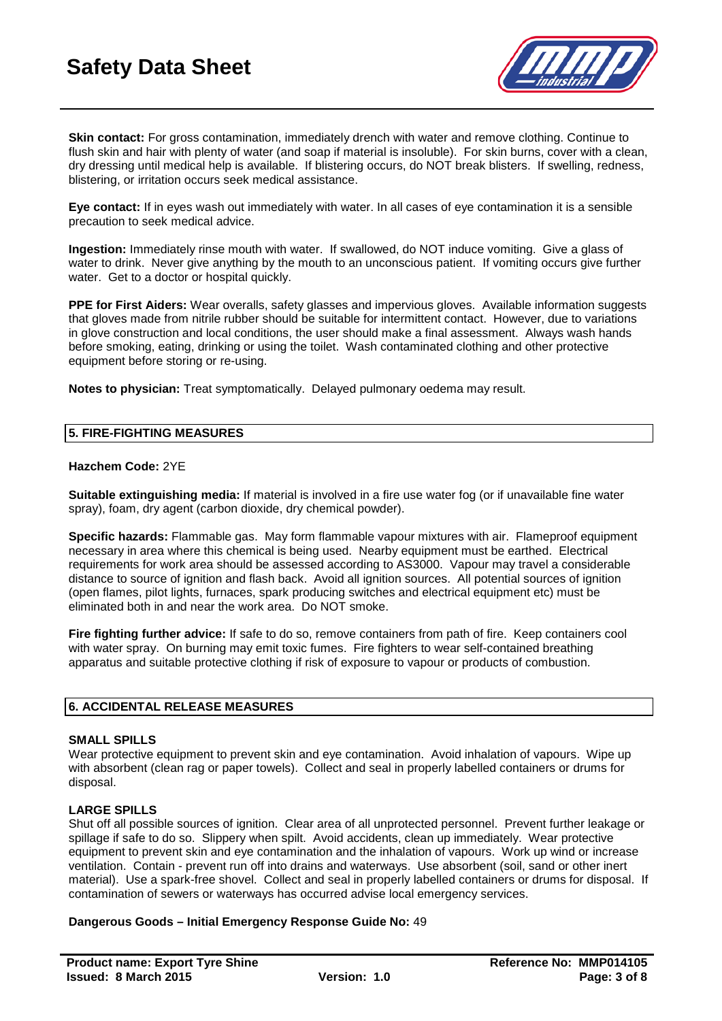

**Skin contact:** For gross contamination, immediately drench with water and remove clothing. Continue to flush skin and hair with plenty of water (and soap if material is insoluble). For skin burns, cover with a clean, dry dressing until medical help is available. If blistering occurs, do NOT break blisters. If swelling, redness, blistering, or irritation occurs seek medical assistance.

**Eye contact:** If in eyes wash out immediately with water. In all cases of eye contamination it is a sensible precaution to seek medical advice.

**Ingestion:** Immediately rinse mouth with water. If swallowed, do NOT induce vomiting. Give a glass of water to drink. Never give anything by the mouth to an unconscious patient. If vomiting occurs give further water. Get to a doctor or hospital quickly.

**PPE for First Aiders:** Wear overalls, safety glasses and impervious gloves. Available information suggests that gloves made from nitrile rubber should be suitable for intermittent contact. However, due to variations in glove construction and local conditions, the user should make a final assessment. Always wash hands before smoking, eating, drinking or using the toilet. Wash contaminated clothing and other protective equipment before storing or re-using.

**Notes to physician:** Treat symptomatically. Delayed pulmonary oedema may result.

#### **5. FIRE-FIGHTING MEASURES**

#### **Hazchem Code:** 2YE

**Suitable extinguishing media:** If material is involved in a fire use water fog (or if unavailable fine water spray), foam, dry agent (carbon dioxide, dry chemical powder).

**Specific hazards:** Flammable gas. May form flammable vapour mixtures with air. Flameproof equipment necessary in area where this chemical is being used. Nearby equipment must be earthed. Electrical requirements for work area should be assessed according to AS3000. Vapour may travel a considerable distance to source of ignition and flash back. Avoid all ignition sources. All potential sources of ignition (open flames, pilot lights, furnaces, spark producing switches and electrical equipment etc) must be eliminated both in and near the work area. Do NOT smoke.

Fire fighting further advice: If safe to do so, remove containers from path of fire. Keep containers cool with water spray. On burning may emit toxic fumes. Fire fighters to wear self-contained breathing apparatus and suitable protective clothing if risk of exposure to vapour or products of combustion.

#### **6. ACCIDENTAL RELEASE MEASURES**

#### **SMALL SPILLS**

Wear protective equipment to prevent skin and eye contamination. Avoid inhalation of vapours. Wipe up with absorbent (clean rag or paper towels). Collect and seal in properly labelled containers or drums for disposal.

#### **LARGE SPILLS**

Shut off all possible sources of ignition. Clear area of all unprotected personnel. Prevent further leakage or spillage if safe to do so. Slippery when spilt. Avoid accidents, clean up immediately. Wear protective equipment to prevent skin and eye contamination and the inhalation of vapours. Work up wind or increase ventilation. Contain - prevent run off into drains and waterways. Use absorbent (soil, sand or other inert material). Use a spark-free shovel. Collect and seal in properly labelled containers or drums for disposal. If contamination of sewers or waterways has occurred advise local emergency services.

#### **Dangerous Goods – Initial Emergency Response Guide No:** 49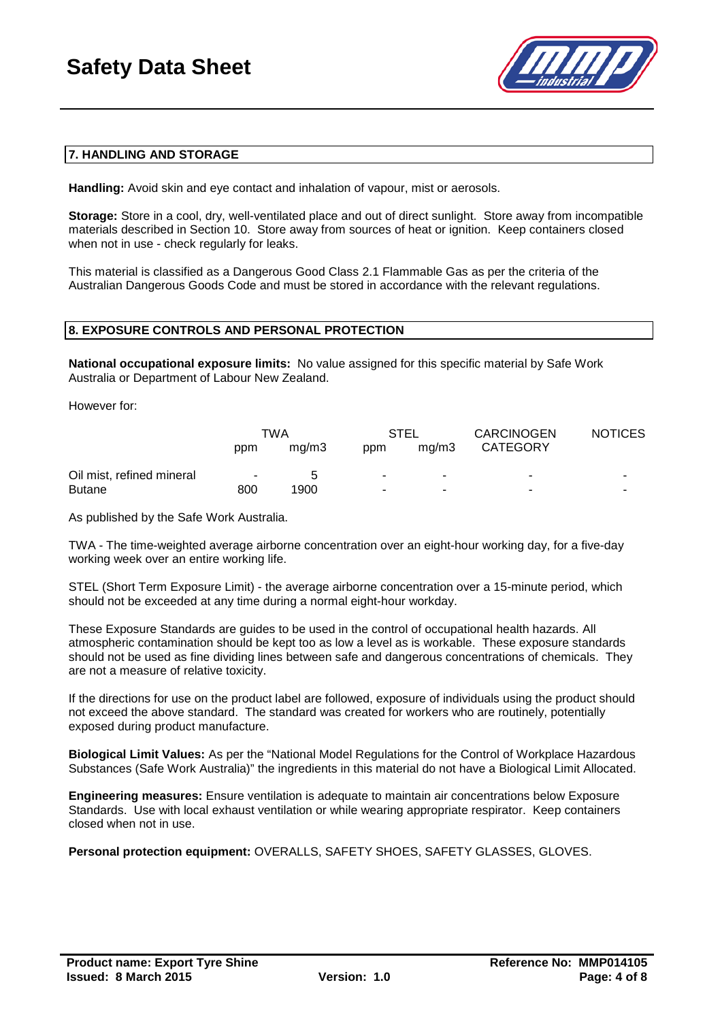

## **7. HANDLING AND STORAGE**

**Handling:** Avoid skin and eye contact and inhalation of vapour, mist or aerosols.

**Storage:** Store in a cool, dry, well-ventilated place and out of direct sunlight. Store away from incompatible materials described in Section 10. Store away from sources of heat or ignition. Keep containers closed when not in use - check regularly for leaks.

This material is classified as a Dangerous Good Class 2.1 Flammable Gas as per the criteria of the Australian Dangerous Goods Code and must be stored in accordance with the relevant regulations.

#### **8. EXPOSURE CONTROLS AND PERSONAL PROTECTION**

**National occupational exposure limits:** No value assigned for this specific material by Safe Work Australia or Department of Labour New Zealand.

However for:

|                           | TWA    |                | STEL |       | <b>CARCINOGEN</b>        | <b>NOTICES</b> |
|---------------------------|--------|----------------|------|-------|--------------------------|----------------|
|                           | ppm    | ma/m3          | ppm  | ma/m3 | <b>CATEGORY</b>          |                |
| Oil mist, refined mineral | $\sim$ | $\overline{a}$ | ۰.   | ۰     | ۰                        |                |
| <b>Butane</b>             | 800    | 1900           |      |       | $\overline{\phantom{0}}$ | -              |

As published by the Safe Work Australia.

TWA - The time-weighted average airborne concentration over an eight-hour working day, for a five-day working week over an entire working life.

STEL (Short Term Exposure Limit) - the average airborne concentration over a 15-minute period, which should not be exceeded at any time during a normal eight-hour workday.

These Exposure Standards are guides to be used in the control of occupational health hazards. All atmospheric contamination should be kept too as low a level as is workable. These exposure standards should not be used as fine dividing lines between safe and dangerous concentrations of chemicals. They are not a measure of relative toxicity.

If the directions for use on the product label are followed, exposure of individuals using the product should not exceed the above standard. The standard was created for workers who are routinely, potentially exposed during product manufacture.

**Biological Limit Values:** As per the "National Model Regulations for the Control of Workplace Hazardous Substances (Safe Work Australia)" the ingredients in this material do not have a Biological Limit Allocated.

**Engineering measures:** Ensure ventilation is adequate to maintain air concentrations below Exposure Standards. Use with local exhaust ventilation or while wearing appropriate respirator. Keep containers closed when not in use.

**Personal protection equipment:** OVERALLS, SAFETY SHOES, SAFETY GLASSES, GLOVES.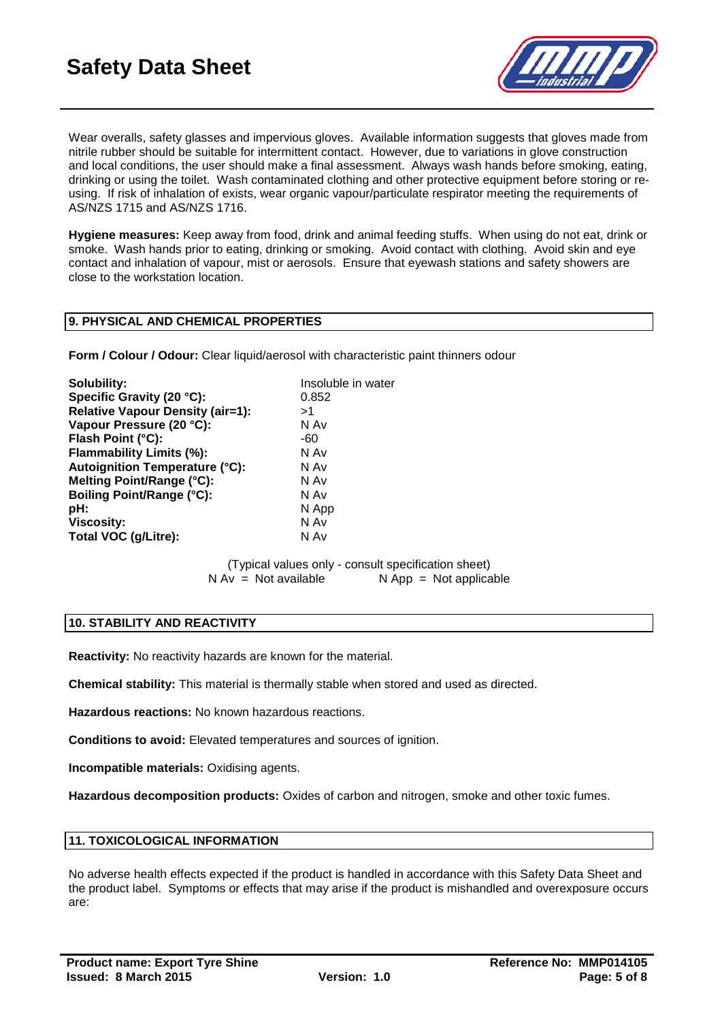

Wear overalls, safety glasses and impervious gloves. Available information suggests that gloves made from nitrile rubber should be suitable for intermittent contact. However, due to variations in glove construction and local conditions, the user should make a final assessment. Always wash hands before smoking, eating, drinking or using the toilet. Wash contaminated clothing and other protective equipment before storing or reusing. If risk of inhalation of exists, wear organic vapour/particulate respirator meeting the requirements of AS/NZS 1715 and AS/NZS 1716.

**Hygiene measures:** Keep away from food, drink and animal feeding stuffs. When using do not eat, drink or smoke. Wash hands prior to eating, drinking or smoking. Avoid contact with clothing. Avoid skin and eye contact and inhalation of vapour, mist or aerosols. Ensure that eyewash stations and safety showers are close to the workstation location.

### **9. PHYSICAL AND CHEMICAL PROPERTIES**

**Form / Colour / Odour:** Clear liquid/aerosol with characteristic paint thinners odour

| Solubility:                             | Insoluble in water |
|-----------------------------------------|--------------------|
| Specific Gravity (20 °C):               | 0.852              |
| <b>Relative Vapour Density (air=1):</b> | >1                 |
| Vapour Pressure (20 °C):                | N Av               |
| Flash Point (°C):                       | -60                |
| Flammability Limits (%):                | N Av               |
| <b>Autoignition Temperature (°C):</b>   | N Av               |
| Melting Point/Range (°C):               | N Av               |
| Boiling Point/Range (°C):               | N Av               |
| pH:                                     | N App              |
| <b>Viscosity:</b>                       | N Av               |
| Total VOC (g/Litre):                    | N Av               |

(Typical values only - consult specification sheet)<br>  $N Av = Not available$   $N App = Not$  applica  $N$  App = Not applicable

#### **10. STABILITY AND REACTIVITY**

**Reactivity:** No reactivity hazards are known for the material.

**Chemical stability:** This material is thermally stable when stored and used as directed.

**Hazardous reactions:** No known hazardous reactions.

**Conditions to avoid:** Elevated temperatures and sources of ignition.

**Incompatible materials:** Oxidising agents.

**Hazardous decomposition products:** Oxides of carbon and nitrogen, smoke and other toxic fumes.

#### **11. TOXICOLOGICAL INFORMATION**

No adverse health effects expected if the product is handled in accordance with this Safety Data Sheet and the product label. Symptoms or effects that may arise if the product is mishandled and overexposure occurs are: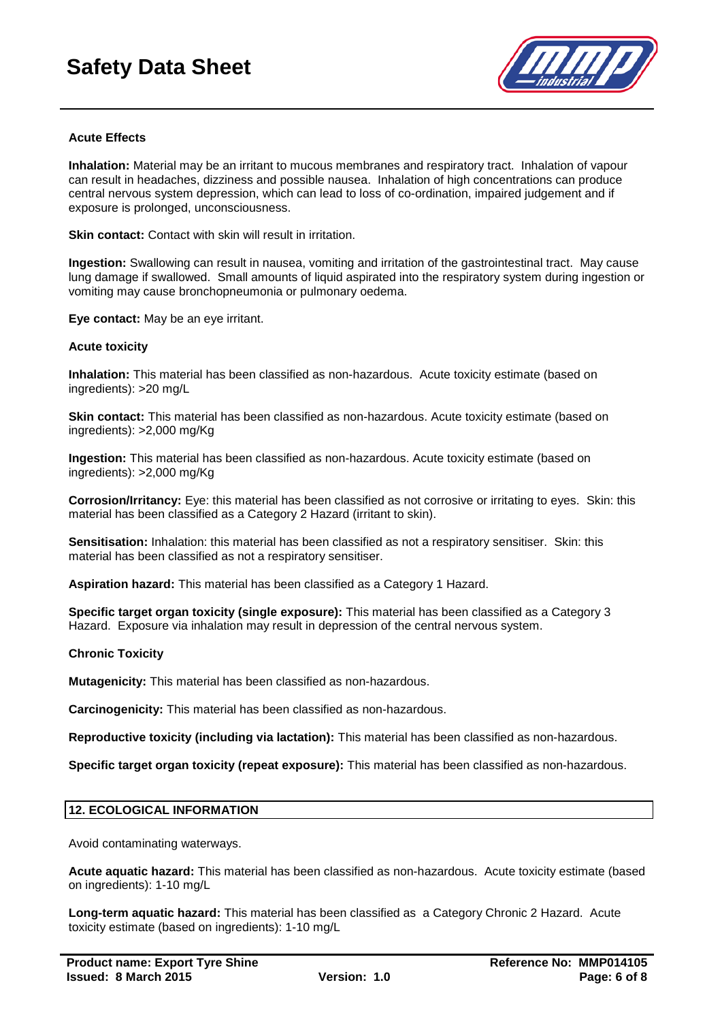# **Safety Data Sheet**



### **Acute Effects**

**Inhalation:** Material may be an irritant to mucous membranes and respiratory tract. Inhalation of vapour can result in headaches, dizziness and possible nausea. Inhalation of high concentrations can produce central nervous system depression, which can lead to loss of co-ordination, impaired judgement and if exposure is prolonged, unconsciousness.

**Skin contact:** Contact with skin will result in irritation.

**Ingestion:** Swallowing can result in nausea, vomiting and irritation of the gastrointestinal tract. May cause lung damage if swallowed. Small amounts of liquid aspirated into the respiratory system during ingestion or vomiting may cause bronchopneumonia or pulmonary oedema.

**Eye contact:** May be an eye irritant.

#### **Acute toxicity**

**Inhalation:** This material has been classified as non-hazardous. Acute toxicity estimate (based on ingredients): >20 mg/L

**Skin contact:** This material has been classified as non-hazardous. Acute toxicity estimate (based on ingredients): >2,000 mg/Kg

**Ingestion:** This material has been classified as non-hazardous. Acute toxicity estimate (based on ingredients): >2,000 mg/Kg

**Corrosion/Irritancy:** Eye: this material has been classified as not corrosive or irritating to eyes. Skin: this material has been classified as a Category 2 Hazard (irritant to skin).

**Sensitisation:** Inhalation: this material has been classified as not a respiratory sensitiser. Skin: this material has been classified as not a respiratory sensitiser.

**Aspiration hazard:** This material has been classified as a Category 1 Hazard.

**Specific target organ toxicity (single exposure):** This material has been classified as a Category 3 Hazard. Exposure via inhalation may result in depression of the central nervous system.

#### **Chronic Toxicity**

**Mutagenicity:** This material has been classified as non-hazardous.

**Carcinogenicity:** This material has been classified as non-hazardous.

**Reproductive toxicity (including via lactation):** This material has been classified as non-hazardous.

**Specific target organ toxicity (repeat exposure):** This material has been classified as non-hazardous.

#### **12. ECOLOGICAL INFORMATION**

Avoid contaminating waterways.

**Acute aquatic hazard:** This material has been classified as non-hazardous. Acute toxicity estimate (based on ingredients): 1-10 mg/L

**Long-term aquatic hazard:** This material has been classified as a Category Chronic 2 Hazard. Acute toxicity estimate (based on ingredients): 1-10 mg/L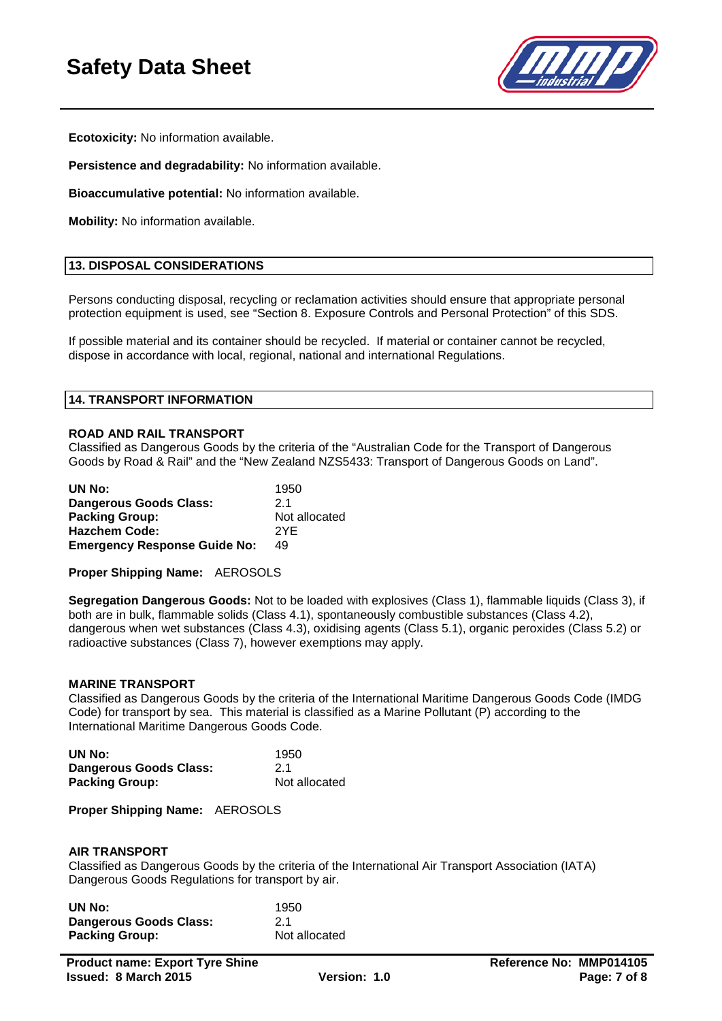

**Ecotoxicity:** No information available.

**Persistence and degradability:** No information available.

**Bioaccumulative potential:** No information available.

**Mobility:** No information available.

#### **13. DISPOSAL CONSIDERATIONS**

Persons conducting disposal, recycling or reclamation activities should ensure that appropriate personal protection equipment is used, see "Section 8. Exposure Controls and Personal Protection" of this SDS.

If possible material and its container should be recycled. If material or container cannot be recycled, dispose in accordance with local, regional, national and international Regulations.

#### **14. TRANSPORT INFORMATION**

#### **ROAD AND RAIL TRANSPORT**

Classified as Dangerous Goods by the criteria of the "Australian Code for the Transport of Dangerous Goods by Road & Rail" and the "New Zealand NZS5433: Transport of Dangerous Goods on Land".

| UN No:                              | 1950          |
|-------------------------------------|---------------|
| <b>Dangerous Goods Class:</b>       | 21            |
| <b>Packing Group:</b>               | Not allocated |
| <b>Hazchem Code:</b>                | 2YF           |
| <b>Emergency Response Guide No:</b> | 49            |

**Proper Shipping Name:** AEROSOLS

**Segregation Dangerous Goods:** Not to be loaded with explosives (Class 1), flammable liquids (Class 3), if both are in bulk, flammable solids (Class 4.1), spontaneously combustible substances (Class 4.2), dangerous when wet substances (Class 4.3), oxidising agents (Class 5.1), organic peroxides (Class 5.2) or radioactive substances (Class 7), however exemptions may apply.

#### **MARINE TRANSPORT**

Classified as Dangerous Goods by the criteria of the International Maritime Dangerous Goods Code (IMDG Code) for transport by sea. This material is classified as a Marine Pollutant (P) according to the International Maritime Dangerous Goods Code.

| UN No:                 | 1950          |
|------------------------|---------------|
| Dangerous Goods Class: | 21            |
| <b>Packing Group:</b>  | Not allocated |

**Proper Shipping Name:** AEROSOLS

#### **AIR TRANSPORT**

Classified as Dangerous Goods by the criteria of the International Air Transport Association (IATA) Dangerous Goods Regulations for transport by air.

| UN No:                        | 1950          |
|-------------------------------|---------------|
| <b>Dangerous Goods Class:</b> | 21            |
| <b>Packing Group:</b>         | Not allocated |